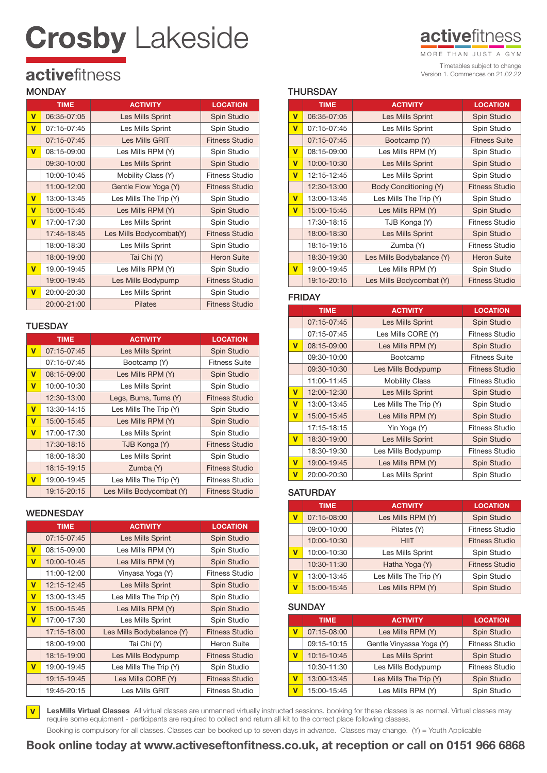# **Crosby Lakeside**

### **activefitness**

Timetables subject to change Version 1. Commences on 21.02.22 MORE THAN JUST A GYM

## activefitness

#### **MONDAY**

|                         | <b>TIME</b> | <b>ACTIVITY</b>         | <b>LOCATION</b>       |
|-------------------------|-------------|-------------------------|-----------------------|
| $\overline{\mathsf{v}}$ | 06:35-07:05 | Les Mills Sprint        | Spin Studio           |
| $\overline{\mathsf{v}}$ | 07:15-07:45 | Les Mills Sprint        | Spin Studio           |
|                         | 07:15-07:45 | Les Mills GRIT          | <b>Fitness Studio</b> |
| v                       | 08:15-09:00 | Les Mills RPM (Y)       | Spin Studio           |
|                         | 09:30-10:00 | Les Mills Sprint        | Spin Studio           |
|                         | 10:00-10:45 | Mobility Class (Y)      | Fitness Studio        |
|                         | 11:00-12:00 | Gentle Flow Yoga (Y)    | <b>Fitness Studio</b> |
| $\overline{\mathsf{v}}$ | 13:00-13:45 | Les Mills The Trip (Y)  | Spin Studio           |
| $\overline{\mathsf{v}}$ | 15:00-15:45 | Les Mills RPM (Y)       | Spin Studio           |
| $\overline{\mathsf{v}}$ | 17:00-17:30 | Les Mills Sprint        | Spin Studio           |
|                         | 17:45-18:45 | Les Mills Bodycombat(Y) | <b>Fitness Studio</b> |
|                         | 18:00-18:30 | Les Mills Sprint        | Spin Studio           |
|                         | 18:00-19:00 | Tai Chi (Y)             | <b>Heron Suite</b>    |
| $\overline{\mathsf{v}}$ | 19.00-19:45 | Les Mills RPM (Y)       | Spin Studio           |
|                         | 19:00-19:45 | Les Mills Bodypump      | <b>Fitness Studio</b> |
| v                       | 20:00-20:30 | Les Mills Sprint        | Spin Studio           |
|                         | 20:00-21:00 | <b>Pilates</b>          | <b>Fitness Studio</b> |

#### **TUESDAY**

|                         | <b>TIME</b> | <b>ACTIVITY</b>          | <b>LOCATION</b>       |
|-------------------------|-------------|--------------------------|-----------------------|
| $\overline{\mathsf{v}}$ | 07:15-07:45 | Les Mills Sprint         | <b>Spin Studio</b>    |
|                         | 07:15-07:45 | Bootcamp (Y)             | Fitness Suite         |
| $\overline{\mathsf{v}}$ | 08:15-09:00 | Les Mills RPM (Y)        | Spin Studio           |
| $\overline{\mathsf{v}}$ | 10:00-10:30 | Les Mills Sprint         | Spin Studio           |
|                         | 12:30-13:00 | Legs, Bums, Tums (Y)     | <b>Fitness Studio</b> |
| $\overline{\mathsf{v}}$ | 13:30-14:15 | Les Mills The Trip (Y)   | Spin Studio           |
| $\overline{\mathsf{v}}$ | 15:00-15:45 | Les Mills RPM (Y)        | Spin Studio           |
| v                       | 17:00-17:30 | Les Mills Sprint         | Spin Studio           |
|                         | 17:30-18:15 | TJB Konga (Y)            | <b>Fitness Studio</b> |
|                         | 18:00-18:30 | Les Mills Sprint         | Spin Studio           |
|                         | 18:15-19:15 | Zumba (Y)                | <b>Fitness Studio</b> |
| $\overline{\mathsf{v}}$ | 19:00-19:45 | Les Mills The Trip (Y)   | Fitness Studio        |
|                         | 19:15-20:15 | Les Mills Bodycombat (Y) | <b>Fitness Studio</b> |

#### WEDNESDAY

|                         | <b>TIME</b> | <b>ACTIVITY</b>           | <b>LOCATION</b>       |
|-------------------------|-------------|---------------------------|-----------------------|
|                         | 07:15-07:45 | Les Mills Sprint          | Spin Studio           |
| $\mathbf v$             | 08:15-09:00 | Les Mills RPM (Y)         | Spin Studio           |
| $\mathbf v$             | 10:00-10:45 | Les Mills RPM (Y)         | Spin Studio           |
|                         | 11:00-12:00 | Vinyasa Yoga (Y)          | Fitness Studio        |
| $\mathbf v$             | 12:15-12:45 | Les Mills Sprint          | Spin Studio           |
| $\overline{\mathsf{v}}$ | 13:00-13:45 | Les Mills The Trip (Y)    | Spin Studio           |
| $\mathbf v$             | 15:00-15:45 | Les Mills RPM (Y)         | <b>Spin Studio</b>    |
| $\overline{\mathsf{v}}$ | 17:00-17:30 | Les Mills Sprint          | Spin Studio           |
|                         | 17:15-18:00 | Les Mills Bodybalance (Y) | <b>Fitness Studio</b> |
|                         | 18:00-19:00 | Tai Chi (Y)               | Heron Suite           |
|                         | 18:15-19:00 | Les Mills Bodypump        | Fitness Studio        |
| $\mathbf v$             | 19:00-19:45 | Les Mills The Trip (Y)    | Spin Studio           |
|                         | 19:15-19:45 | Les Mills CORE (Y)        | <b>Fitness Studio</b> |
|                         | 19:45-20:15 | Les Mills GRIT            | <b>Fitness Studio</b> |

#### **THURSDAY**

|                         | <b>TIME</b> | <b>ACTIVITY</b>              | <b>LOCATION</b>       |
|-------------------------|-------------|------------------------------|-----------------------|
| v                       | 06:35-07:05 | Les Mills Sprint             | <b>Spin Studio</b>    |
| $\overline{\mathsf{v}}$ | 07:15-07:45 | Les Mills Sprint             | Spin Studio           |
|                         | 07:15-07:45 | Bootcamp (Y)                 | <b>Fitness Suite</b>  |
| $\overline{\mathsf{v}}$ | 08:15-09:00 | Les Mills RPM (Y)            | Spin Studio           |
| v                       | 10:00-10:30 | Les Mills Sprint             | Spin Studio           |
| $\overline{\mathsf{v}}$ | 12:15-12:45 | Les Mills Sprint             | Spin Studio           |
|                         | 12:30-13:00 | <b>Body Conditioning (Y)</b> | <b>Fitness Studio</b> |
| $\mathbf v$             | 13:00-13:45 | Les Mills The Trip (Y)       | Spin Studio           |
| v                       | 15:00-15:45 | Les Mills RPM (Y)            | Spin Studio           |
|                         | 17:30-18:15 | TJB Konga (Y)                | <b>Fitness Studio</b> |
|                         | 18:00-18:30 | <b>Les Mills Sprint</b>      | Spin Studio           |
|                         | 18:15-19:15 | Zumba (Y)                    | <b>Fitness Studio</b> |
|                         | 18:30-19:30 | Les Mills Bodybalance (Y)    | <b>Heron Suite</b>    |
| v                       | 19:00-19:45 | Les Mills RPM (Y)            | Spin Studio           |
|                         | 19:15-20:15 | Les Mills Bodycombat (Y)     | <b>Fitness Studio</b> |

#### FRIDAY

|                         | <b>TIME</b> | <b>ACTIVITY</b>         | <b>LOCATION</b>       |
|-------------------------|-------------|-------------------------|-----------------------|
|                         | 07:15-07:45 | Les Mills Sprint        | <b>Spin Studio</b>    |
|                         | 07:15-07:45 | Les Mills CORE (Y)      | Fitness Studio        |
| $\overline{\mathsf{v}}$ | 08:15-09:00 | Les Mills RPM (Y)       | Spin Studio           |
|                         | 09:30-10:00 | Bootcamp                | <b>Fitness Suite</b>  |
|                         | 09:30-10:30 | Les Mills Bodypump      | Fitness Studio        |
|                         | 11:00-11:45 | <b>Mobility Class</b>   | Fitness Studio        |
| $\overline{\mathsf{v}}$ | 12:00-12:30 | Les Mills Sprint        | Spin Studio           |
| $\overline{\mathsf{v}}$ | 13:00-13:45 | Les Mills The Trip (Y)  | Spin Studio           |
| $\overline{\mathsf{v}}$ | 15:00-15:45 | Les Mills RPM (Y)       | Spin Studio           |
|                         | 17:15-18:15 | Yin Yoga (Y)            | Fitness Studio        |
| $\overline{\mathsf{v}}$ | 18:30-19:00 | <b>Les Mills Sprint</b> | Spin Studio           |
|                         | 18:30-19:30 | Les Mills Bodypump      | <b>Fitness Studio</b> |
| $\overline{\mathsf{v}}$ | 19:00-19:45 | Les Mills RPM (Y)       | Spin Studio           |
| $\overline{\mathsf{v}}$ | 20:00-20:30 | Les Mills Sprint        | Spin Studio           |

#### **SATURDAY**

|   | <b>TIME</b> | <b>ACTIVITY</b>        | <b>LOCATION</b>       |
|---|-------------|------------------------|-----------------------|
| V | 07:15-08:00 | Les Mills RPM (Y)      | Spin Studio           |
|   | 09:00-10:00 | Pilates (Y)            | <b>Fitness Studio</b> |
|   | 10:00-10:30 | <b>HIIT</b>            | <b>Fitness Studio</b> |
| V | 10:00-10:30 | Les Mills Sprint       | Spin Studio           |
|   | 10:30-11:30 | Hatha Yoga (Y)         | <b>Fitness Studio</b> |
| V | 13:00-13:45 | Les Mills The Trip (Y) | Spin Studio           |
| V | 15:00-15:45 | Les Mills RPM (Y)      | Spin Studio           |

#### **SUNDAY**

|   | <b>TIME</b> | <b>ACTIVITY</b>          | <b>LOCATION</b>       |
|---|-------------|--------------------------|-----------------------|
| V | 07:15-08:00 | Les Mills RPM (Y)        | Spin Studio           |
|   | 09:15-10:15 | Gentle Vinyassa Yoga (Y) | <b>Fitness Studio</b> |
| V | 10:15-10:45 | Les Mills Sprint         | Spin Studio           |
|   | 10:30-11:30 | Les Mills Bodypump       | <b>Fitness Studio</b> |
| v | 13:00-13:45 | Les Mills The Trip (Y)   | Spin Studio           |
| ۷ | 15:00-15:45 | Les Mills RPM (Y)        | Spin Studio           |

LesMills Virtual Classes All virtual classes are unmanned virtually instructed sessions. booking for these classes is as normal. Virtual classes may require some equipment - participants are required to collect and return all kit to the correct place following classes. V

Booking is compulsory for all classes. Classes can be booked up to seven days in advance. Classes may change. (Y) = Youth Applicable

Book online today at www.activeseftonfitness.co.uk, at reception or call on 0151 966 6868